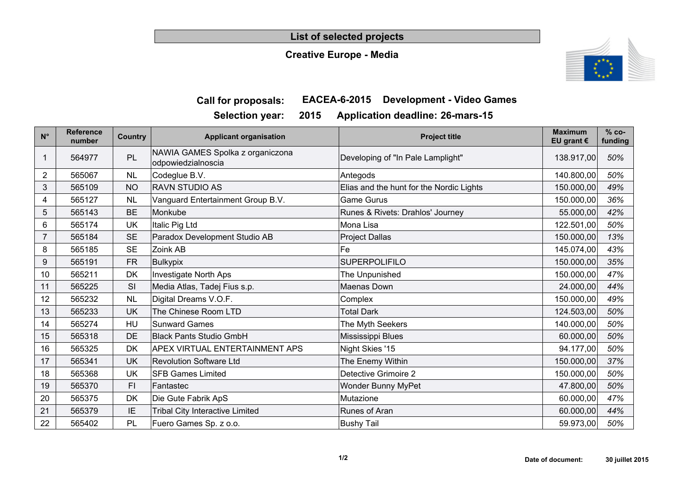### **List of selected projects**

## **Creative Europe - Media**



## **Call for proposals: EACEA-6-2015 Development - Video Games**

**Selection year: 2015 Application deadline: 26-mars-15**

| $N^{\circ}$ | <b>Reference</b><br>number | Country   | <b>Applicant organisation</b>                          | <b>Project title</b>                     | <b>Maximum</b><br>EU grant $\epsilon$ | $% co-$<br>funding |
|-------------|----------------------------|-----------|--------------------------------------------------------|------------------------------------------|---------------------------------------|--------------------|
| 1           | 564977                     | PL        | NAWIA GAMES Spolka z organiczona<br>odpowiedzialnoscia | Developing of "In Pale Lamplight"        | 138.917,00                            | 50%                |
| 2           | 565067                     | <b>NL</b> | Codeglue B.V.                                          | Antegods                                 | 140.800,00                            | 50%                |
| 3           | 565109                     | <b>NO</b> | <b>RAVN STUDIO AS</b>                                  | Elias and the hunt for the Nordic Lights | 150.000,00                            | 49%                |
| 4           | 565127                     | <b>NL</b> | Vanguard Entertainment Group B.V.                      | <b>Game Gurus</b>                        | 150.000,00                            | 36%                |
| 5           | 565143                     | <b>BE</b> | Monkube                                                | Runes & Rivets: Drahlos' Journey         | 55.000,00                             | 42%                |
| 6           | 565174                     | UK        | Italic Pig Ltd                                         | Mona Lisa                                | 122.501,00                            | 50%                |
| 7           | 565184                     | <b>SE</b> | Paradox Development Studio AB                          | <b>Project Dallas</b>                    | 150.000,00                            | 13%                |
| 8           | 565185                     | <b>SE</b> | Zoink AB                                               | Fe                                       | 145.074,00                            | 43%                |
| 9           | 565191                     | <b>FR</b> | <b>Bulkypix</b>                                        | <b>SUPERPOLIFILO</b>                     | 150.000,00                            | 35%                |
| 10          | 565211                     | DK        | <b>Investigate North Aps</b>                           | The Unpunished                           | 150.000,00                            | 47%                |
| 11          | 565225                     | SI        | Media Atlas, Tadej Fius s.p.                           | Maenas Down                              | 24.000,00                             | 44%                |
| 12          | 565232                     | <b>NL</b> | Digital Dreams V.O.F.                                  | Complex                                  | 150.000,00                            | 49%                |
| 13          | 565233                     | UK        | The Chinese Room LTD                                   | <b>Total Dark</b>                        | 124.503,00                            | 50%                |
| 14          | 565274                     | HU        | <b>Sunward Games</b>                                   | The Myth Seekers                         | 140.000,00                            | 50%                |
| 15          | 565318                     | DE        | <b>Black Pants Studio GmbH</b>                         | Mississippi Blues                        | 60.000,00                             | 50%                |
| 16          | 565325                     | DK        | <b>APEX VIRTUAL ENTERTAINMENT APS</b>                  | Night Skies '15                          | 94.177,00                             | 50%                |
| 17          | 565341                     | UK        | <b>Revolution Software Ltd</b>                         | The Enemy Within                         | 150.000,00                            | 37%                |
| 18          | 565368                     | UK        | <b>SFB Games Limited</b>                               | Detective Grimoire 2                     | 150.000,00                            | 50%                |
| 19          | 565370                     | FI.       | Fantastec                                              | Wonder Bunny MyPet                       | 47.800,00                             | 50%                |
| 20          | 565375                     | DK        | Die Gute Fabrik ApS                                    | Mutazione                                | 60.000,00                             | 47%                |
| 21          | 565379                     | IE        | <b>Tribal City Interactive Limited</b>                 | Runes of Aran                            | 60.000,00                             | 44%                |
| 22          | 565402                     | PL        | Fuero Games Sp. z o.o.                                 | <b>Bushy Tail</b>                        | 59.973,00                             | 50%                |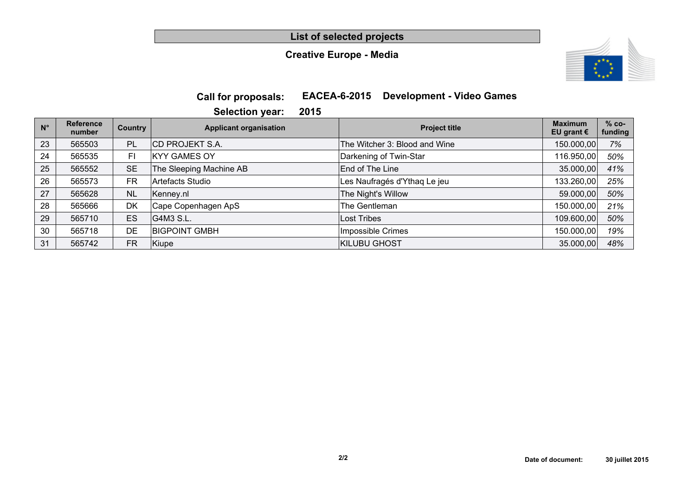**List of selected projects**

## **Creative Europe - Media**



## **Call for proposals: EACEA-6-2015 Development - Video Games**

**Selection year: 2015**

| $N^{\circ}$ | <b>Reference</b><br>number | Country   | <b>Applicant organisation</b> | <b>Project title</b>          | <b>Maximum</b><br>EU grant $\epsilon$ | $% co-$<br>funding |
|-------------|----------------------------|-----------|-------------------------------|-------------------------------|---------------------------------------|--------------------|
| 23          | 565503                     | PL        | <b>CD PROJEKT S.A.</b>        | The Witcher 3: Blood and Wine | 150.000,00                            | 7%                 |
| 24          | 565535                     | FI        | <b>KYY GAMES OY</b>           | Darkening of Twin-Star        | 116.950,00                            | 50%                |
| 25          | 565552                     | <b>SE</b> | The Sleeping Machine AB       | End of The Line               | 35.000,00                             | 41%                |
| 26          | 565573                     | <b>FR</b> | Artefacts Studio              | Les Naufragés d'Ythaq Le jeu  | 133.260,00                            | 25%                |
| 27          | 565628                     | <b>NL</b> | Kenney.nl                     | The Night's Willow            | 59.000,00                             | 50%                |
| 28          | 565666                     | DK        | Cape Copenhagen ApS           | The Gentleman                 | 150.000,00                            | 21%                |
| 29          | 565710                     | <b>ES</b> | G4M3 S.L.                     | Lost Tribes                   | 109.600,00                            | 50%                |
| 30          | 565718                     | DE        | <b>BIGPOINT GMBH</b>          | Impossible Crimes             | 150.000,00                            | 19%                |
| 31          | 565742                     | <b>FR</b> | Kiupe                         | <b>KILUBU GHOST</b>           | 35.000,00                             | 48%                |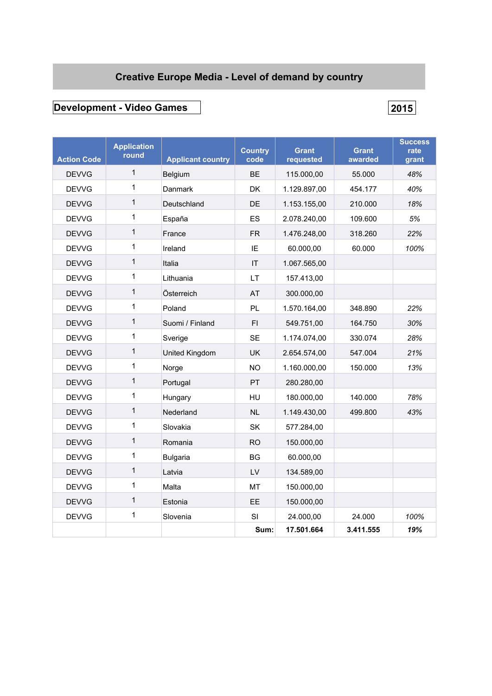## **Creative Europe Media - Level of demand by country**

## **Development - Video Games 2015**

| <b>Action Code</b> | <b>Application</b><br>round | <b>Applicant country</b> | <b>Country</b><br>code | <b>Grant</b><br>requested | <b>Grant</b><br>awarded | <b>Success</b><br>rate<br>grant |
|--------------------|-----------------------------|--------------------------|------------------------|---------------------------|-------------------------|---------------------------------|
| <b>DEVVG</b>       | $\mathbf{1}$                | <b>Belgium</b>           | <b>BE</b>              | 115.000,00                | 55.000                  | 48%                             |
| <b>DEVVG</b>       | 1                           | <b>Danmark</b>           | <b>DK</b>              | 1.129.897,00              | 454.177                 | 40%                             |
| <b>DEVVG</b>       | $\mathbf{1}$                | Deutschland              | DE                     | 1.153.155,00              | 210.000                 | 18%                             |
| <b>DEVVG</b>       | 1                           | España                   | ES                     | 2.078.240,00              | 109.600                 | 5%                              |
| <b>DEVVG</b>       | $\mathbf{1}$                | France                   | <b>FR</b>              | 1.476.248,00              | 318.260                 | 22%                             |
| <b>DEVVG</b>       | 1                           | Ireland                  | ΙE                     | 60.000,00                 | 60.000                  | 100%                            |
| <b>DEVVG</b>       | $\mathbf{1}$                | Italia                   | $\mathsf{I}\mathsf{T}$ | 1.067.565,00              |                         |                                 |
| <b>DEVVG</b>       | 1                           | Lithuania                | LT.                    | 157.413,00                |                         |                                 |
| <b>DEVVG</b>       | $\mathbf{1}$                | Österreich               | AT                     | 300.000,00                |                         |                                 |
| <b>DEVVG</b>       | 1                           | Poland                   | PL                     | 1.570.164,00              | 348.890                 | 22%                             |
| <b>DEVVG</b>       | 1                           | Suomi / Finland          | FI.                    | 549.751,00                | 164.750                 | 30%                             |
| <b>DEVVG</b>       | 1                           | Sverige                  | <b>SE</b>              | 1.174.074,00              | 330.074                 | 28%                             |
| <b>DEVVG</b>       | 1                           | United Kingdom           | <b>UK</b>              | 2.654.574,00              | 547.004                 | 21%                             |
| <b>DEVVG</b>       | 1                           | Norge                    | <b>NO</b>              | 1.160.000,00              | 150.000                 | 13%                             |
| <b>DEVVG</b>       | $\mathbf 1$                 | Portugal                 | PT.                    | 280.280,00                |                         |                                 |
| <b>DEVVG</b>       | 1                           | Hungary                  | <b>HU</b>              | 180.000,00                | 140.000                 | 78%                             |
| <b>DEVVG</b>       | 1                           | Nederland                | <b>NL</b>              | 1.149.430,00              | 499.800                 | 43%                             |
| <b>DEVVG</b>       | 1                           | Slovakia                 | <b>SK</b>              | 577.284,00                |                         |                                 |
| <b>DEVVG</b>       | 1                           | Romania                  | <b>RO</b>              | 150.000,00                |                         |                                 |
| <b>DEVVG</b>       | 1                           | <b>Bulgaria</b>          | BG                     | 60.000,00                 |                         |                                 |
| <b>DEVVG</b>       | $\mathbf{1}$                | Latvia                   | LV                     | 134.589,00                |                         |                                 |
| <b>DEVVG</b>       | 1                           | Malta                    | МT                     | 150.000,00                |                         |                                 |
| <b>DEVVG</b>       | 1                           | Estonia                  | <b>EE</b>              | 150.000,00                |                         |                                 |
| <b>DEVVG</b>       | 1                           | Slovenia                 | SI                     | 24.000,00                 | 24.000                  | 100%                            |
|                    |                             |                          | Sum:                   | 17.501.664                | 3.411.555               | 19%                             |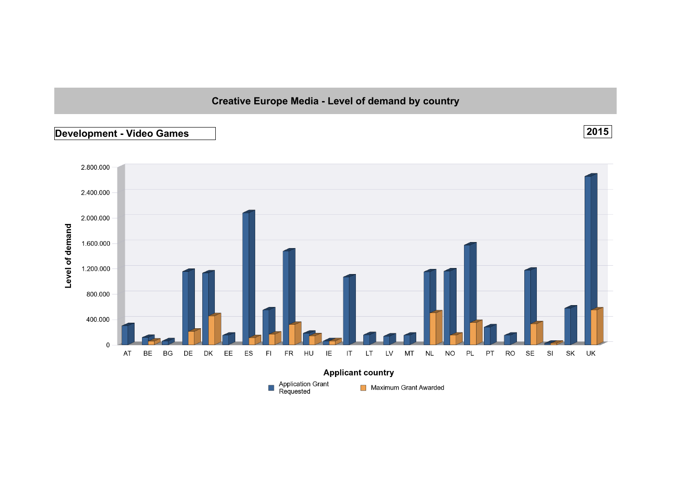## **Creative Europe Media - Level of demand by country**

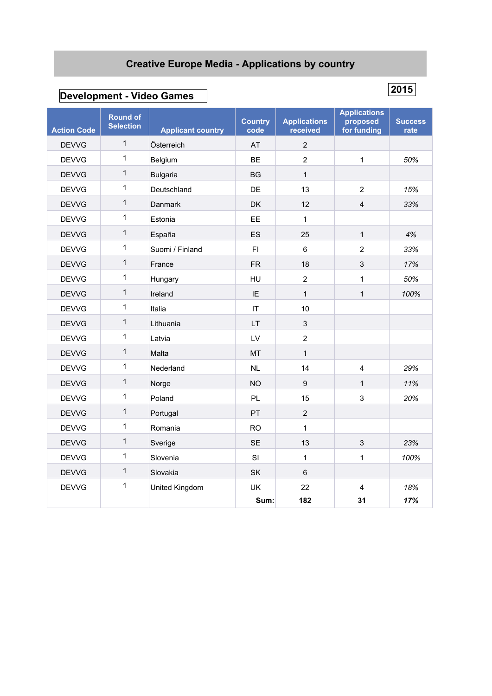## **Creative Europe Media - Applications by country**

# **Development - Video Games <sup>2015</sup>**

| <b>Action Code</b> | <b>Round of</b><br><b>Selection</b> | <b>Applicant country</b> | <b>Country</b><br>code | <b>Applications</b><br>received | <b>Applications</b><br>proposed<br>for funding | <b>Success</b><br>rate |
|--------------------|-------------------------------------|--------------------------|------------------------|---------------------------------|------------------------------------------------|------------------------|
| <b>DEVVG</b>       | $\mathbf{1}$                        | Österreich               | AT                     | $\overline{2}$                  |                                                |                        |
| <b>DEVVG</b>       | $\mathbf{1}$                        | Belgium                  | <b>BE</b>              | $\overline{2}$                  | $\mathbf{1}$                                   | 50%                    |
| <b>DEVVG</b>       | $\mathbf{1}$                        | <b>Bulgaria</b>          | <b>BG</b>              | $\mathbf{1}$                    |                                                |                        |
| <b>DEVVG</b>       | $\mathbf{1}$                        | Deutschland              | DE                     | 13                              | $\overline{2}$                                 | 15%                    |
| <b>DEVVG</b>       | $\mathbf{1}$                        | Danmark                  | <b>DK</b>              | 12                              | $\overline{4}$                                 | 33%                    |
| <b>DEVVG</b>       | $\mathbf{1}$                        | Estonia                  | EE                     | $\mathbf{1}$                    |                                                |                        |
| <b>DEVVG</b>       | $\mathbf{1}$                        | España                   | ES                     | 25                              | $\mathbf{1}$                                   | 4%                     |
| <b>DEVVG</b>       | 1                                   | Suomi / Finland          | F1                     | 6                               | $\overline{2}$                                 | 33%                    |
| <b>DEVVG</b>       | $\mathbf{1}$                        | France                   | FR.                    | 18                              | 3                                              | 17%                    |
| <b>DEVVG</b>       | $\mathbf 1$                         | Hungary                  | HU                     | 2                               | 1                                              | 50%                    |
| <b>DEVVG</b>       | $\mathbf{1}$                        | Ireland                  | IE                     | $\mathbf{1}$                    | $\mathbf{1}$                                   | 100%                   |
| <b>DEVVG</b>       | $\mathbf{1}$                        | Italia                   | IT                     | 10                              |                                                |                        |
| <b>DEVVG</b>       | $\mathbf{1}$                        | Lithuania                | <b>LT</b>              | 3                               |                                                |                        |
| <b>DEVVG</b>       | $\mathbf{1}$                        | Latvia                   | LV                     | $\overline{2}$                  |                                                |                        |
| <b>DEVVG</b>       | $\mathbf{1}$                        | Malta                    | <b>MT</b>              | $\mathbf{1}$                    |                                                |                        |
| <b>DEVVG</b>       | $\mathbf{1}$                        | Nederland                | <b>NL</b>              | 14                              | 4                                              | 29%                    |
| <b>DEVVG</b>       | 1                                   | Norge                    | <b>NO</b>              | $\boldsymbol{9}$                | 1                                              | 11%                    |
| <b>DEVVG</b>       | $\mathbf 1$                         | Poland                   | PL                     | 15                              | 3                                              | 20%                    |
| <b>DEVVG</b>       | $\mathbf{1}$                        | Portugal                 | PT                     | $\overline{2}$                  |                                                |                        |
| <b>DEVVG</b>       | $\mathbf 1$                         | Romania                  | <b>RO</b>              | 1                               |                                                |                        |
| <b>DEVVG</b>       | $\mathbf{1}$                        | Sverige                  | <b>SE</b>              | 13                              | 3                                              | 23%                    |
| <b>DEVVG</b>       | 1                                   | Slovenia                 | SI                     | 1                               | 1                                              | 100%                   |
| <b>DEVVG</b>       | $\mathbf{1}$                        | Slovakia                 | SK                     | 6                               |                                                |                        |
| <b>DEVVG</b>       | $\mathbf 1$                         | United Kingdom           | UK                     | 22                              | $\overline{4}$                                 | 18%                    |
|                    |                                     |                          | Sum:                   | 182                             | 31                                             | 17%                    |